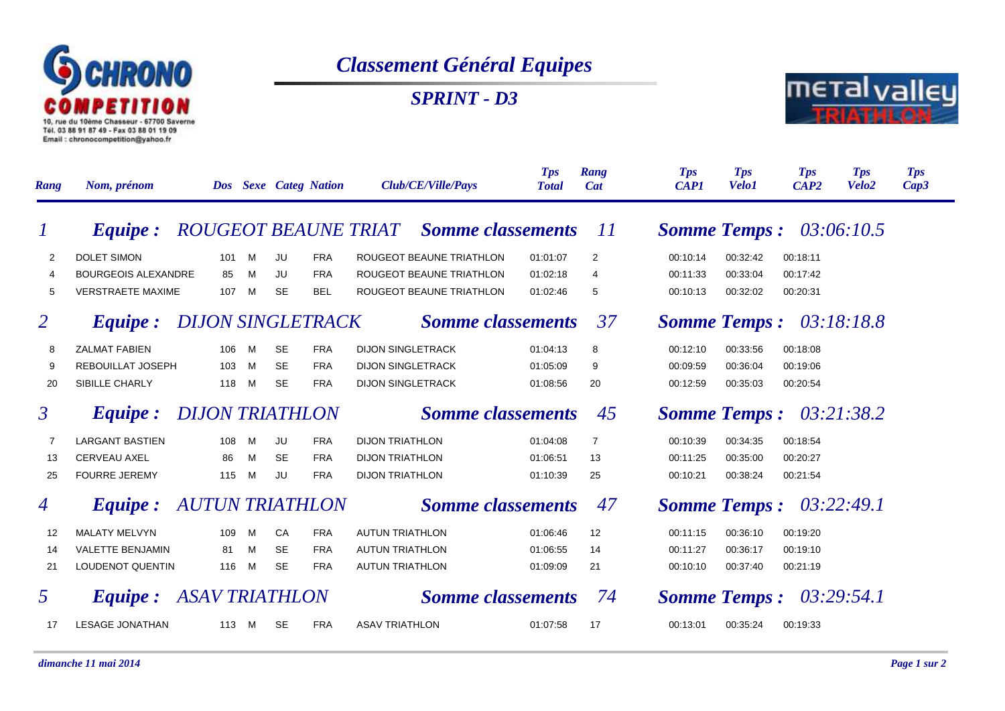

## *Classement Général Equipes*

*SPRINT - D3*



| Rang           | Nom, prénom                             |                        | <b>Dos</b> |                          |           | <b>Sexe Categ Nation</b> | Club/CE/Ville/Pays       |                                               | <b>Tps</b><br><b>Total</b> | Rang<br><b>Cat</b> | <b>Tps</b><br><b>CAP1</b>         | <b>Tps</b><br><b>Velo1</b> | <b>Tps</b><br>CAP2 | <b>Tps</b><br>Velo <sub>2</sub> | <b>Tps</b><br>Cap3 |
|----------------|-----------------------------------------|------------------------|------------|--------------------------|-----------|--------------------------|--------------------------|-----------------------------------------------|----------------------------|--------------------|-----------------------------------|----------------------------|--------------------|---------------------------------|--------------------|
|                | <i>Equipe:</i>                          |                        |            |                          |           |                          |                          | <b>ROUGEOT BEAUNE TRIAT</b> Somme classements |                            | 11                 | <b>Somme Temps:</b>               |                            |                    | 03:06:10.5                      |                    |
| 2              | DOLET SIMON                             |                        | 101        | M                        | JU        | <b>FRA</b>               |                          | ROUGEOT BEAUNE TRIATHLON                      | 01:01:07                   | 2                  | 00:10:14                          | 00:32:42                   | 00:18:11           |                                 |                    |
| $\overline{4}$ | <b>BOURGEOIS ALEXANDRE</b>              |                        | 85         | M                        | JU        | <b>FRA</b>               |                          | ROUGEOT BEAUNE TRIATHLON                      | 01:02:18                   | 4                  | 00:11:33                          | 00:33:04                   | 00:17:42           |                                 |                    |
| 5              | <b>VERSTRAETE MAXIME</b>                |                        | 107        | M                        | <b>SE</b> | <b>BEL</b>               |                          | ROUGEOT BEAUNE TRIATHLON                      | 01:02:46                   | 5                  | 00:10:13                          | 00:32:02                   | 00:20:31           |                                 |                    |
| 2              | <i>Equipe:</i>                          |                        |            | <b>DIJON SINGLETRACK</b> |           |                          | <b>Somme classements</b> |                                               |                            | 37                 | 03:18:18.8<br><b>Somme Temps:</b> |                            |                    |                                 |                    |
| 8              | <b>ZALMAT FABIEN</b>                    |                        | 106        | M                        | <b>SE</b> | <b>FRA</b>               | <b>DIJON SINGLETRACK</b> |                                               | 01:04:13                   | 8                  | 00:12:10                          | 00:33:56                   | 00:18:08           |                                 |                    |
| 9              | <b>REBOUILLAT JOSEPH</b>                |                        | 103        | M                        | <b>SE</b> | <b>FRA</b>               | <b>DIJON SINGLETRACK</b> |                                               | 01:05:09                   | 9                  | 00:09:59                          | 00:36:04                   | 00:19:06           |                                 |                    |
| 20             | SIBILLE CHARLY                          |                        | 118        | M                        | <b>SE</b> | <b>FRA</b>               | <b>DIJON SINGLETRACK</b> |                                               | 01:08:56                   | 20                 | 00:12:59                          | 00:35:03                   | 00:20:54           |                                 |                    |
| $\mathfrak{Z}$ | <i>Equipe:</i>                          | <b>DIJON TRIATHLON</b> |            |                          |           | <b>Somme classements</b> |                          | 45                                            | <b>Somme Temps:</b>        |                    |                                   | 03:21:38.2                 |                    |                                 |                    |
| 7              | <b>LARGANT BASTIEN</b>                  |                        | 108        | M                        | JU        | <b>FRA</b>               | <b>DIJON TRIATHLON</b>   |                                               | 01:04:08                   | $\overline{7}$     | 00:10:39                          | 00:34:35                   | 00:18:54           |                                 |                    |
| 13             | <b>CERVEAU AXEL</b>                     |                        | 86         | M                        | <b>SE</b> | <b>FRA</b>               | <b>DIJON TRIATHLON</b>   |                                               | 01:06:51                   | 13                 | 00:11:25                          | 00:35:00                   | 00:20:27           |                                 |                    |
| 25             | <b>FOURRE JEREMY</b>                    |                        | 115        | M                        | JU        | <b>FRA</b>               | <b>DIJON TRIATHLON</b>   |                                               | 01:10:39                   | 25                 | 00:10:21                          | 00:38:24                   | 00:21:54           |                                 |                    |
| $\overline{4}$ | <b>Equipe:</b>                          | <b>AUTUN TRIATHLON</b> |            | <b>Somme classements</b> |           |                          | 47                       | <b>Somme Temps:</b>                           |                            |                    | 03:22:49.1                        |                            |                    |                                 |                    |
| 12             | <b>MALATY MELVYN</b>                    |                        | 109        | M                        | CA        | <b>FRA</b>               | <b>AUTUN TRIATHLON</b>   |                                               | 01:06:46                   | 12                 | 00:11:15                          | 00:36:10                   | 00:19:20           |                                 |                    |
| 14             | <b>VALETTE BENJAMIN</b>                 |                        | 81         | M                        | <b>SE</b> | <b>FRA</b>               | <b>AUTUN TRIATHLON</b>   |                                               | 01:06:55                   | 14                 | 00:11:27                          | 00:36:17                   | 00:19:10           |                                 |                    |
| 21             | <b>LOUDENOT QUENTIN</b>                 |                        | 116        | M                        | <b>SE</b> | <b>FRA</b>               | <b>AUTUN TRIATHLON</b>   |                                               | 01:09:09                   | 21                 | 00:10:10                          | 00:37:40                   | 00:21:19           |                                 |                    |
| 5              | <b>ASAV TRIATHLON</b><br><i>Equipe:</i> |                        |            | <b>Somme classements</b> |           |                          | 74                       | <b>Somme Temps:</b>                           |                            |                    | 03:29:54.1                        |                            |                    |                                 |                    |
| 17             | <b>LESAGE JONATHAN</b>                  |                        | 113        | - M                      | <b>SE</b> | <b>FRA</b>               | <b>ASAV TRIATHLON</b>    |                                               | 01:07:58                   | 17                 | 00:13:01                          | 00:35:24                   | 00:19:33           |                                 |                    |